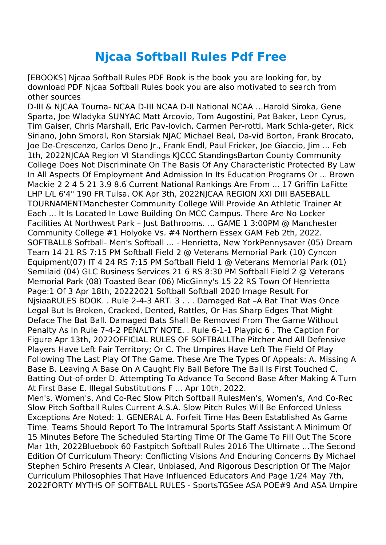## **Njcaa Softball Rules Pdf Free**

[EBOOKS] Njcaa Softball Rules PDF Book is the book you are looking for, by download PDF Njcaa Softball Rules book you are also motivated to search from other sources

D-III & NJCAA Tourna- NCAA D-III NCAA D-II National NCAA …Harold Siroka, Gene Sparta, Joe Wladyka SUNYAC Matt Arcovio, Tom Augostini, Pat Baker, Leon Cyrus, Tim Gaiser, Chris Marshall, Eric Pav-lovich, Carmen Per-rotti, Mark Schla-geter, Rick Siriano, John Smoral, Ron Starsiak NJAC Michael Beal, Da-vid Borton, Frank Brocato, Joe De-Crescenzo, Carlos Deno Jr., Frank Endl, Paul Fricker, Joe Giaccio, Jim ... Feb 1th, 2022NJCAA Region VI Standings KJCCC StandingsBarton County Community College Does Not Discriminate On The Basis Of Any Characteristic Protected By Law In All Aspects Of Employment And Admission In Its Education Programs Or ... Brown Mackie 2 2 4 5 21 3.9 8.6 Current National Rankings Are From ... 17 Griffin LaFitte LHP L/L 6'4" 190 FR Tulsa, OK Apr 3th, 2022NJCAA REGION XXI DIII BASEBALL TOURNAMENTManchester Community College Will Provide An Athletic Trainer At Each ... It Is Located In Lowe Building On MCC Campus. There Are No Locker Facilities At Northwest Park – Just Bathrooms. ... GAME 1 3:00PM @ Manchester Community College #1 Holyoke Vs. #4 Northern Essex GAM Feb 2th, 2022. SOFTBALL8 Softball- Men's Softball ... - Henrietta, New YorkPennysaver (05) Dream Team 14 21 RS 7:15 PM Softball Field 2 @ Veterans Memorial Park (10) Cyncon Equipment(07) IT 4 24 RS 7:15 PM Softball Field 1 @ Veterans Memorial Park (01) Semilaid (04) GLC Business Services 21 6 RS 8:30 PM Softball Field 2 @ Veterans Memorial Park (08) Toasted Bear (06) MicGinny's 15 22 RS Town Of Henrietta Page:1 Of 3 Apr 18th, 20222021 Softball Softball 2020 Image Result For NjsiaaRULES BOOK. . Rule 2-4-3 ART. 3 . . . Damaged Bat –A Bat That Was Once Legal But Is Broken, Cracked, Dented, Rattles, Or Has Sharp Edges That Might Deface The Bat Ball. Damaged Bats Shall Be Removed From The Game Without Penalty As In Rule 7-4-2 PENALTY NOTE. . Rule 6-1-1 Playpic 6 . The Caption For Figure Apr 13th, 2022OFFICIAL RULES OF SOFTBALLThe Pitcher And All Defensive Players Have Left Fair Territory; Or C. The Umpires Have Left The Field Of Play Following The Last Play Of The Game. These Are The Types Of Appeals: A. Missing A Base B. Leaving A Base On A Caught Fly Ball Before The Ball Is First Touched C. Batting Out-of-order D. Attempting To Advance To Second Base After Making A Turn At First Base E. Illegal Substitutions F ... Apr 10th, 2022. Men's, Women's, And Co-Rec Slow Pitch Softball RulesMen's, Women's, And Co-Rec

Slow Pitch Softball Rules Current A.S.A. Slow Pitch Rules Will Be Enforced Unless Exceptions Are Noted: 1. GENERAL A. Forfeit Time Has Been Established As Game Time. Teams Should Report To The Intramural Sports Staff Assistant A Minimum Of 15 Minutes Before The Scheduled Starting Time Of The Game To Fill Out The Score Mar 1th, 2022Bluebook 60 Fastpitch Softball Rules 2016 The Ultimate ...The Second Edition Of Curriculum Theory: Conflicting Visions And Enduring Concerns By Michael Stephen Schiro Presents A Clear, Unbiased, And Rigorous Description Of The Major Curriculum Philosophies That Have Influenced Educators And Page 1/24 May 7th, 2022FORTY MYTHS OF SOFTBALL RULES - SportsTGSee ASA POE#9 And ASA Umpire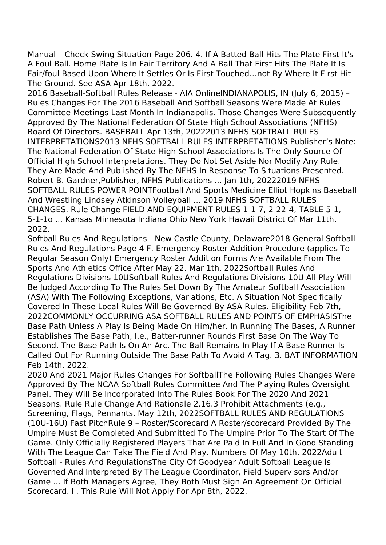Manual – Check Swing Situation Page 206. 4. If A Batted Ball Hits The Plate First It's A Foul Ball. Home Plate Is In Fair Territory And A Ball That First Hits The Plate It Is Fair/foul Based Upon Where It Settles Or Is First Touched…not By Where It First Hit The Ground. See ASA Apr 18th, 2022.

2016 Baseball-Softball Rules Release - AIA OnlineINDIANAPOLIS, IN (July 6, 2015) – Rules Changes For The 2016 Baseball And Softball Seasons Were Made At Rules Committee Meetings Last Month In Indianapolis. Those Changes Were Subsequently Approved By The National Federation Of State High School Associations (NFHS) Board Of Directors. BASEBALL Apr 13th, 20222013 NFHS SOFTBALL RULES INTERPRETATIONS2013 NFHS SOFTBALL RULES INTERPRETATIONS Publisher's Note: The National Federation Of State High School Associations Is The Only Source Of Official High School Interpretations. They Do Not Set Aside Nor Modify Any Rule. They Are Made And Published By The NFHS In Response To Situations Presented. Robert B. Gardner,Publisher, NFHS Publications ... Jan 1th, 20222019 NFHS SOFTBALL RULES POWER POINTFootball And Sports Medicine Elliot Hopkins Baseball And Wrestling Lindsey Atkinson Volleyball ... 2019 NFHS SOFTBALL RULES CHANGES. Rule Change FIELD AND EQUIPMENT RULES 1-1-7, 2-22-4, TABLE 5-1, 5-1-1o ... Kansas Minnesota Indiana Ohio New York Hawaii District Of Mar 11th, 2022.

Softball Rules And Regulations - New Castle County, Delaware2018 General Softball Rules And Regulations Page 4 F. Emergency Roster Addition Procedure (applies To Regular Season Only) Emergency Roster Addition Forms Are Available From The Sports And Athletics Office After May 22. Mar 1th, 2022Softball Rules And Regulations Divisions 10USoftball Rules And Regulations Divisions 10U All Play Will Be Judged According To The Rules Set Down By The Amateur Softball Association (ASA) With The Following Exceptions, Variations, Etc. A Situation Not Specifically Covered In These Local Rules Will Be Governed By ASA Rules. Eligibility Feb 7th, 2022COMMONLY OCCURRING ASA SOFTBALL RULES AND POINTS OF EMPHASISThe Base Path Unless A Play Is Being Made On Him/her. In Running The Bases, A Runner Establishes The Base Path, I.e., Batter-runner Rounds First Base On The Way To Second, The Base Path Is On An Arc. The Ball Remains In Play If A Base Runner Is Called Out For Running Outside The Base Path To Avoid A Tag. 3. BAT INFORMATION Feb 14th, 2022.

2020 And 2021 Major Rules Changes For SoftballThe Following Rules Changes Were Approved By The NCAA Softball Rules Committee And The Playing Rules Oversight Panel. They Will Be Incorporated Into The Rules Book For The 2020 And 2021 Seasons. Rule Rule Change And Rationale 2.16.3 Prohibit Attachments (e.g., Screening, Flags, Pennants, May 12th, 2022SOFTBALL RULES AND REGULATIONS (10U-16U) Fast PitchRule 9 – Roster/Scorecard A Roster/scorecard Provided By The Umpire Must Be Completed And Submitted To The Umpire Prior To The Start Of The Game. Only Officially Registered Players That Are Paid In Full And In Good Standing With The League Can Take The Field And Play. Numbers Of May 10th, 2022Adult Softball - Rules And RegulationsThe City Of Goodyear Adult Softball League Is Governed And Interpreted By The League Coordinator, Field Supervisors And/or Game ... If Both Managers Agree, They Both Must Sign An Agreement On Official Scorecard. Ii. This Rule Will Not Apply For Apr 8th, 2022.